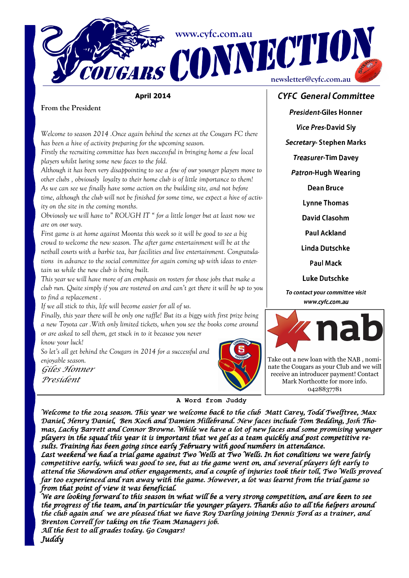

## April 2014

From the President

Welcome to season 2014 .Once again behind the scenes at the Cougars FC there has been a hive of activity preparing for the upcoming season.

Firstly the recruiting committee has been successful in bringing home a few local players whilst luring some new faces to the fold.

Although it has been very disappointing to see a few of our younger players move to other clubs , obviously loyalty to their home club is of little importance to them! As we can see we finally have some action on the building site, and not before time, although the club will not be finished for some time, we expect a hive of activity on the site in the coming months.

Obviously we will have to" ROUGH IT " for a little longer but at least now we are on our way.

First game is at home against Moonta this week so it will be good to see a big crowd to welcome the new season. The after game entertainment will be at the netball courts with a barbie tea, bar facilities and live entertainment. Congratulations in advance to the social committee for again coming up with ideas to entertain us while the new club is being built.

This year we will have more of an emphasis on rosters for those jobs that make a club run. Quite simply if you are rostered on and can't get there it will be up to you to find a replacement .

If we all stick to this, life will become easier for all of us.

Finally, this year there will be only one raffle! But its a biggy with first prize being a new Toyota car .With only limited tickets, when you see the books come around or are asked to sell them, get stuck in to it because you never

know your luck!

So let's all get behind the Cougars in 2014 for a successful and enjoyable season.

Giles Honner President



# CYFC General Committee

President-Giles Honner

Vice Pres-David Sly

Secretary- Stephen Marks

Treasurer-Tim Davey

Patron-Hugh Wearing

Dean Bruce

Lynne Thomas

David Clasohm

Paul Ackland Linda Dutschke

Paul Mack

Luke Dutschke

To contact your committee visit www.cyfc.com.au



Take out a new loan with the NAB , nominate the Cougars as your Club and we will receive an introducer payment! Contact Mark Northcotte for more info. 0428837781

#### **A Word from Juddy**

Welcome to the 2014 season. This year we welcome back to the club Matt Carey, Todd Twelftree, Max Daniel, Henry Daniel, Ben Koch and Damien Hillebrand. New faces include Tom Bedding, Josh Thomas, Lachy Barrett and Connor Browne. While we have a lot of new faces and some promising younger players in the squad this year it is important that we gel as a team quickly and post competitive results. Training has been going since early February with good numbers in attendance.

Last weekend we had a trial game against Two Wells at Two Wells. In hot conditions we were fairly competitive early, which was good to see, but as the game went on, and several players left early to attend the Showdown and other engagements, and a couple of injuries took their toll, Two Wells proved far too experienced and ran away with the game. However, a lot was learnt from the trial game so from that point of view it was beneficial.

We are looking forward to this season in what will be a very strong competition, and are keen to see the progress of the team, and in particular the younger players. Thanks also to all the helpers around the club again and we are pleased that we have Roy Darling joining Dennis Ford as a trainer, and Brenton Correll for taking on the Team Managers job.

All the best to all grades today. Go Cougars! Juddy